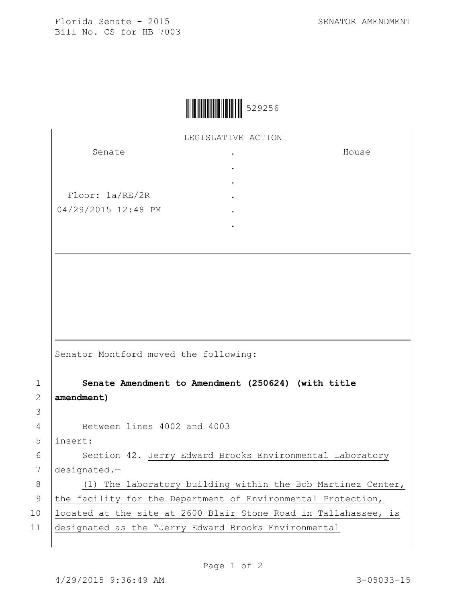House

Florida Senate - 2015 SENATOR AMENDMENT Bill No. CS for HB 7003

|  | 529256 |
|--|--------|
|--|--------|

LEGISLATIVE ACTION .

> . . . . .

Senate

Floor: 1a/RE/2R 04/29/2015 12:48 PM

Senator Montford moved the following:

1 **Senate Amendment to Amendment (250624) (with title**  2 **amendment)**

4 Between lines 4002 and 4003

5 insert:

3

6 | Section 42. Jerry Edward Brooks Environmental Laboratory 7 designated.—

8 (1) The laboratory building within the Bob Martinez Center, 9 the facility for the Department of Environmental Protection, 10 | located at the site at 2600 Blair Stone Road in Tallahassee, is 11 designated as the "Jerry Edward Brooks Environmental